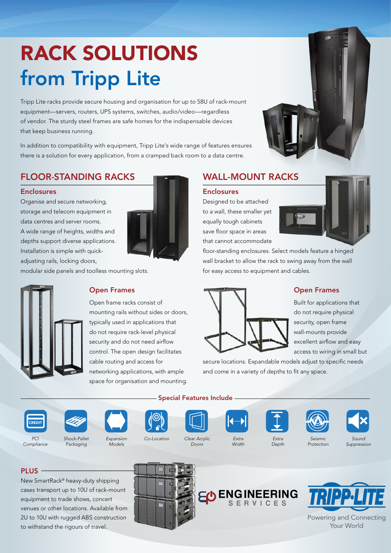# RACK SOLUTIONS from Tripp Lite

Tripp Lite racks provide secure housing and organisation for up to 58U of rack-mount equipment—servers, routers, UPS systems, switches, audio/video—regardless of vendor. The sturdy steel frames are safe homes for the indispensable devices that keep business running.

In addition to compatibility with equipment, Tripp Lite's wide range of features ensures there is a solution for every application, from a cramped back room to a data centre.

# FLOOR-STANDING RACKS

#### Enclosures

Organise and secure networking, storage and telecom equipment in data centres and server rooms. A wide range of heights, widths and depths support diverse applications. Installation is simple with quickadjusting rails, locking doors,



modular side panels and toolless mounting slots.



#### Open Frames

Open frame racks consist of mounting rails without sides or doors, typically used in applications that do not require rack-level physical security and do not need airflow control. The open design facilitates cable routing and access for networking applications, with ample space for organisation and mounting.

## WALL-MOUNT RACKS

#### Enclosures

Designed to be attached to a wall, these smaller yet equally tough cabinets save floor space in areas that cannot accommodate



floor-standing enclosures. Select models feature a hinged wall bracket to allow the rack to swing away from the wall for easy access to equipment and cables.



#### Open Frames

Built for applications that do not require physical security, open frame wall-mounts provide excellent airflow and easy access to wiring in small but

secure locations. Expandable models adjust to specific needs and come in a variety of depths to fit any space.



*Compliance*

*PCI* 







*Clear Acrylic* 









*Shock-Pallet Packaging*

*Expansion Models*

*Co-Location*

*Doors*

Special Features Include

*Extra Width*

*Depth*

*Seismic Protection*

*Sound Suppression* 

### PLUS -

New SmartRack® heavy-duty shipping cases transport up to 10U of rack-mount equipment to trade shows, concert venues or other locations. Available from 2U to 10U with rugged ABS construction to withstand the rigours of travel.

ED ENGINEERING